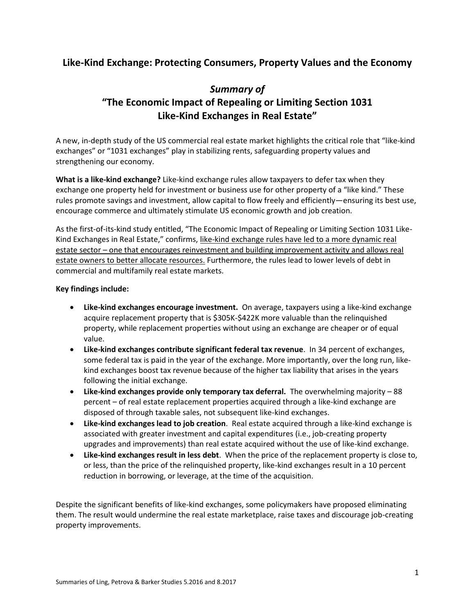## **Like-Kind Exchange: Protecting Consumers, Property Values and the Economy**

# *Summary of*  **"The Economic Impact of Repealing or Limiting Section 1031 Like-Kind Exchanges in Real Estate"**

A new, in-depth study of the US commercial real estate market highlights the critical role that "like-kind exchanges" or "1031 exchanges" play in stabilizing rents, safeguarding property values and strengthening our economy.

**What is a like-kind exchange?** Like-kind exchange rules allow taxpayers to defer tax when they exchange one property held for investment or business use for other property of a "like kind." These rules promote savings and investment, allow capital to flow freely and efficiently—ensuring its best use, encourage commerce and ultimately stimulate US economic growth and job creation.

As the first-of-its-kind study entitled, "The Economic Impact of Repealing or Limiting Section 1031 Like-Kind Exchanges in Real Estate," confirms, like-kind exchange rules have led to a more dynamic real estate sector – one that encourages reinvestment and building improvement activity and allows real estate owners to better allocate resources. Furthermore, the rules lead to lower levels of debt in commercial and multifamily real estate markets.

#### **Key findings include:**

- **Like-kind exchanges encourage investment.** On average, taxpayers using a like-kind exchange acquire replacement property that is \$305K-\$422K more valuable than the relinquished property, while replacement properties without using an exchange are cheaper or of equal value.
- **Like-kind exchanges contribute significant federal tax revenue**. In 34 percent of exchanges, some federal tax is paid in the year of the exchange. More importantly, over the long run, likekind exchanges boost tax revenue because of the higher tax liability that arises in the years following the initial exchange.
- **Like-kind exchanges provide only temporary tax deferral.** The overwhelming majority 88 percent – of real estate replacement properties acquired through a like-kind exchange are disposed of through taxable sales, not subsequent like-kind exchanges.
- **Like-kind exchanges lead to job creation**. Real estate acquired through a like-kind exchange is associated with greater investment and capital expenditures (i.e., job-creating property upgrades and improvements) than real estate acquired without the use of like-kind exchange.
- **Like-kind exchanges result in less debt**. When the price of the replacement property is close to, or less, than the price of the relinquished property, like-kind exchanges result in a 10 percent reduction in borrowing, or leverage, at the time of the acquisition.

Despite the significant benefits of like-kind exchanges, some policymakers have proposed eliminating them. The result would undermine the real estate marketplace, raise taxes and discourage job-creating property improvements.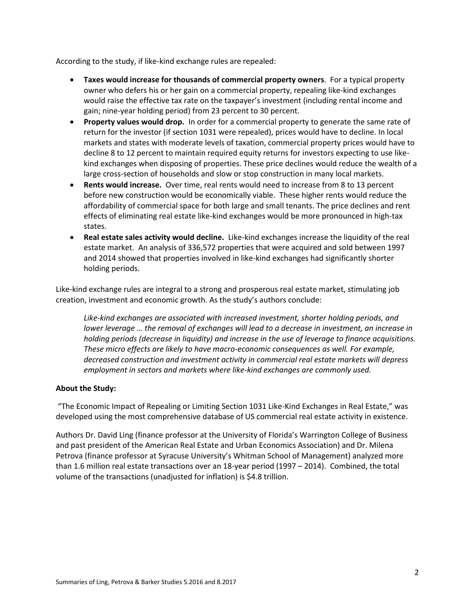According to the study, if like-kind exchange rules are repealed:

- **Taxes would increase for thousands of commercial property owners**. For a typical property owner who defers his or her gain on a commercial property, repealing like-kind exchanges would raise the effective tax rate on the taxpayer's investment (including rental income and gain; nine-year holding period) from 23 percent to 30 percent.
- **Property values would drop.** In order for a commercial property to generate the same rate of return for the investor (if section 1031 were repealed), prices would have to decline. In local markets and states with moderate levels of taxation, commercial property prices would have to decline 8 to 12 percent to maintain required equity returns for investors expecting to use likekind exchanges when disposing of properties. These price declines would reduce the wealth of a large cross-section of households and slow or stop construction in many local markets.
- **Rents would increase.** Over time, real rents would need to increase from 8 to 13 percent before new construction would be economically viable. These higher rents would reduce the affordability of commercial space for both large and small tenants. The price declines and rent effects of eliminating real estate like-kind exchanges would be more pronounced in high-tax states.
- **Real estate sales activity would decline.** Like-kind exchanges increase the liquidity of the real estate market. An analysis of 336,572 properties that were acquired and sold between 1997 and 2014 showed that properties involved in like-kind exchanges had significantly shorter holding periods.

Like-kind exchange rules are integral to a strong and prosperous real estate market, stimulating job creation, investment and economic growth. As the study's authors conclude:

*Like-kind exchanges are associated with increased investment, shorter holding periods, and lower leverage … the removal of exchanges will lead to a decrease in investment, an increase in holding periods (decrease in liquidity) and increase in the use of leverage to finance acquisitions. These micro effects are likely to have macro-economic consequences as well. For example, decreased construction and investment activity in commercial real estate markets will depress employment in sectors and markets where like-kind exchanges are commonly used.*

### **About the Study:**

"The Economic Impact of Repealing or Limiting Section 1031 Like-Kind Exchanges in Real Estate," was developed using the most comprehensive database of US commercial real estate activity in existence.

Authors Dr. David Ling (finance professor at the University of Florida's Warrington College of Business and past president of the American Real Estate and Urban Economics Association) and Dr. Milena Petrova (finance professor at Syracuse University's Whitman School of Management) analyzed more than 1.6 million real estate transactions over an 18-year period (1997 – 2014). Combined, the total volume of the transactions (unadjusted for inflation) is \$4.8 trillion.